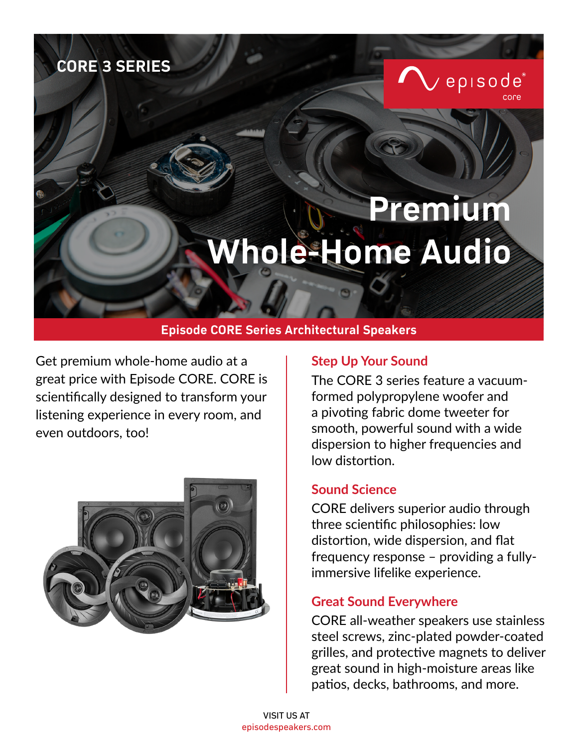# **CORE 3 SERIES**

# **Premium Whole-Home Audio**

## **Episode CORE Series Architectural Speakers**

Get premium whole-home audio at a **Step Up Your Sound** great price with Episode CORE. CORE is scientifically designed to transform your listening experience in every room, and even outdoors, too!



The CORE 3 series feature a vacuumformed polypropylene woofer and a pivoting fabric dome tweeter for smooth, powerful sound with a wide dispersion to higher frequencies and low distortion.

episode®

### **Sound Science**

CORE delivers superior audio through three scientific philosophies: low distortion, wide dispersion, and flat frequency response – providing a fullyimmersive lifelike experience.

## **Great Sound Everywhere**

CORE all-weather speakers use stainless steel screws, zinc-plated powder-coated grilles, and protective magnets to deliver great sound in high-moisture areas like patios, decks, bathrooms, and more.